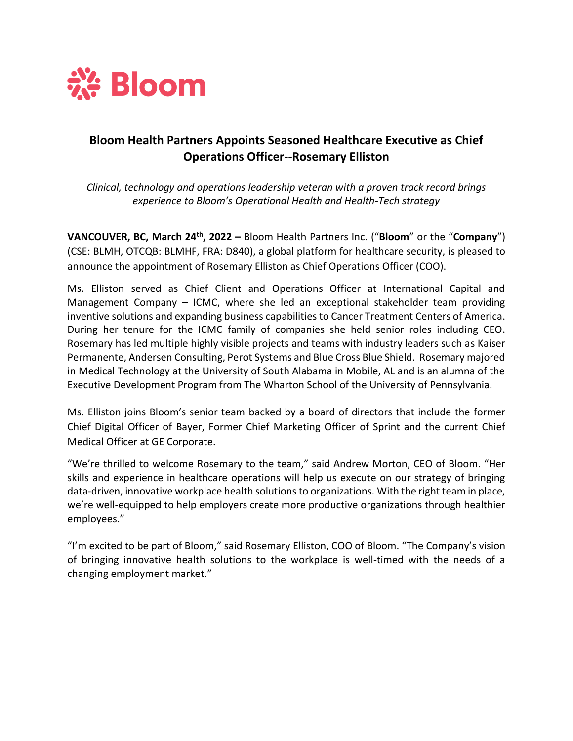

## **Bloom Health Partners Appoints Seasoned Healthcare Executive as Chief Operations Officer--Rosemary Elliston**

*Clinical, technology and operations leadership veteran with a proven track record brings experience to Bloom's Operational Health and Health-Tech strategy*

**VANCOUVER, BC, March 24th, 2022 –** Bloom Health Partners Inc. ("**Bloom**" or the "**Company**") (CSE: BLMH, OTCQB: BLMHF, FRA: D840), a global platform for healthcare security, is pleased to announce the appointment of Rosemary Elliston as Chief Operations Officer (COO).

Ms. Elliston served as Chief Client and Operations Officer at International Capital and Management Company – ICMC, where she led an exceptional stakeholder team providing inventive solutions and expanding business capabilities to Cancer Treatment Centers of America. During her tenure for the ICMC family of companies she held senior roles including CEO. Rosemary has led multiple highly visible projects and teams with industry leaders such as Kaiser Permanente, Andersen Consulting, Perot Systems and Blue Cross Blue Shield. Rosemary majored in Medical Technology at the University of South Alabama in Mobile, AL and is an alumna of the Executive Development Program from The Wharton School of the University of Pennsylvania.

Ms. Elliston joins Bloom's senior team backed by a board of directors that include the former Chief Digital Officer of Bayer, Former Chief Marketing Officer of Sprint and the current Chief Medical Officer at GE Corporate.

"We're thrilled to welcome Rosemary to the team," said Andrew Morton, CEO of Bloom. "Her skills and experience in healthcare operations will help us execute on our strategy of bringing data-driven, innovative workplace health solutions to organizations. With the right team in place, we're well-equipped to help employers create more productive organizations through healthier employees."

"I'm excited to be part of Bloom," said Rosemary Elliston, COO of Bloom. "The Company's vision of bringing innovative health solutions to the workplace is well-timed with the needs of a changing employment market."